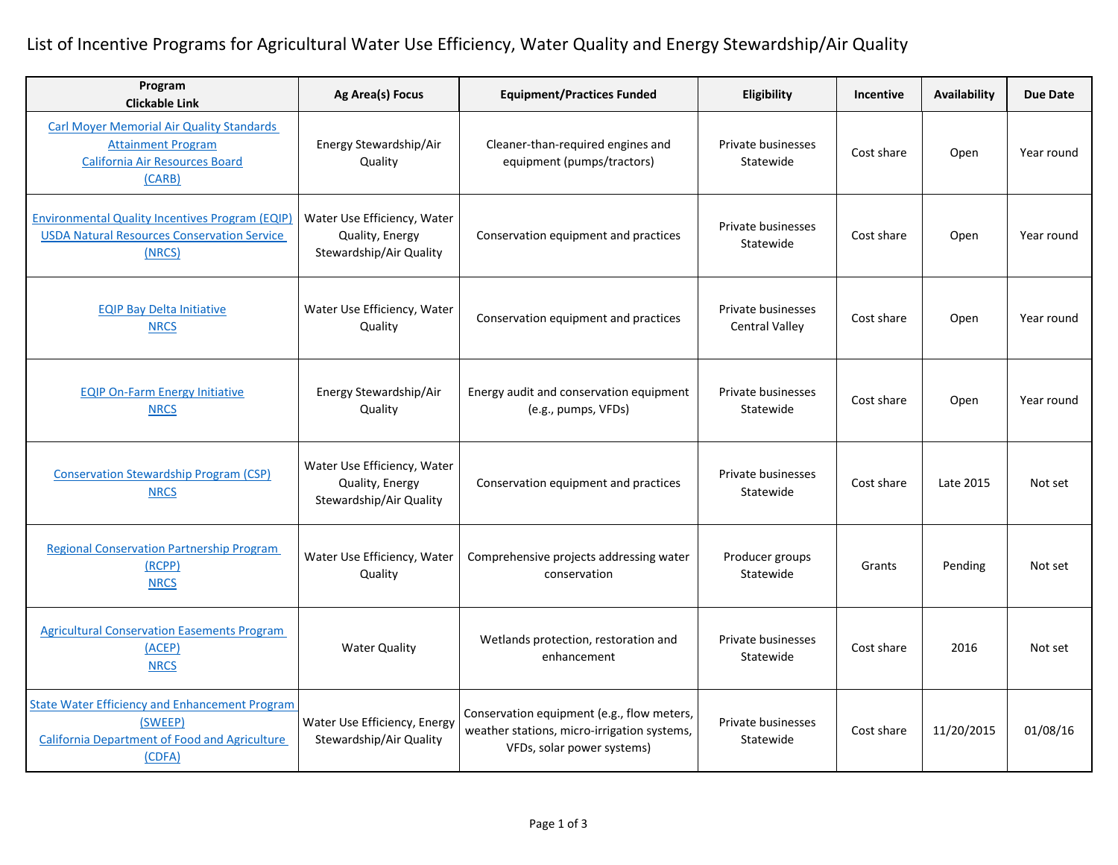## List of Incentive Programs for Agricultural Water Use Efficiency, Water Quality and Energy Stewardship/Air Quality

| Program<br><b>Clickable Link</b>                                                                                            | Ag Area(s) Focus                                                          | <b>Equipment/Practices Funded</b>                                                                                       | Eligibility                                 | Incentive  | Availability | <b>Due Date</b> |
|-----------------------------------------------------------------------------------------------------------------------------|---------------------------------------------------------------------------|-------------------------------------------------------------------------------------------------------------------------|---------------------------------------------|------------|--------------|-----------------|
| <b>Carl Moyer Memorial Air Quality Standards</b><br><b>Attainment Program</b><br>California Air Resources Board<br>(CARB)   | Energy Stewardship/Air<br>Quality                                         | Cleaner-than-required engines and<br>equipment (pumps/tractors)                                                         | Private businesses<br>Statewide             | Cost share | Open         | Year round      |
| <b>Environmental Quality Incentives Program (EQIP)</b><br><b>USDA Natural Resources Conservation Service</b><br>(NRCS)      | Water Use Efficiency, Water<br>Quality, Energy<br>Stewardship/Air Quality | Conservation equipment and practices                                                                                    | Private businesses<br>Statewide             | Cost share | Open         | Year round      |
| <b>EQIP Bay Delta Initiative</b><br><b>NRCS</b>                                                                             | Water Use Efficiency, Water<br>Quality                                    | Conservation equipment and practices                                                                                    | Private businesses<br><b>Central Valley</b> | Cost share | Open         | Year round      |
| <b>EQIP On-Farm Energy Initiative</b><br><b>NRCS</b>                                                                        | Energy Stewardship/Air<br>Quality                                         | Energy audit and conservation equipment<br>(e.g., pumps, VFDs)                                                          | Private businesses<br>Statewide             | Cost share | Open         | Year round      |
| <b>Conservation Stewardship Program (CSP)</b><br><b>NRCS</b>                                                                | Water Use Efficiency, Water<br>Quality, Energy<br>Stewardship/Air Quality | Conservation equipment and practices                                                                                    | Private businesses<br>Statewide             | Cost share | Late 2015    | Not set         |
| <b>Regional Conservation Partnership Program</b><br>(RCPP)<br><b>NRCS</b>                                                   | Water Use Efficiency, Water<br>Quality                                    | Comprehensive projects addressing water<br>conservation                                                                 | Producer groups<br>Statewide                | Grants     | Pending      | Not set         |
| <b>Agricultural Conservation Easements Program</b><br>(ACEP)<br><b>NRCS</b>                                                 | <b>Water Quality</b>                                                      | Wetlands protection, restoration and<br>enhancement                                                                     | Private businesses<br>Statewide             | Cost share | 2016         | Not set         |
| <b>State Water Efficiency and Enhancement Program</b><br>(SWEEP)<br>California Department of Food and Agriculture<br>(CDFA) | Water Use Efficiency, Energy<br>Stewardship/Air Quality                   | Conservation equipment (e.g., flow meters,<br>weather stations, micro-irrigation systems,<br>VFDs, solar power systems) | Private businesses<br>Statewide             | Cost share | 11/20/2015   | 01/08/16        |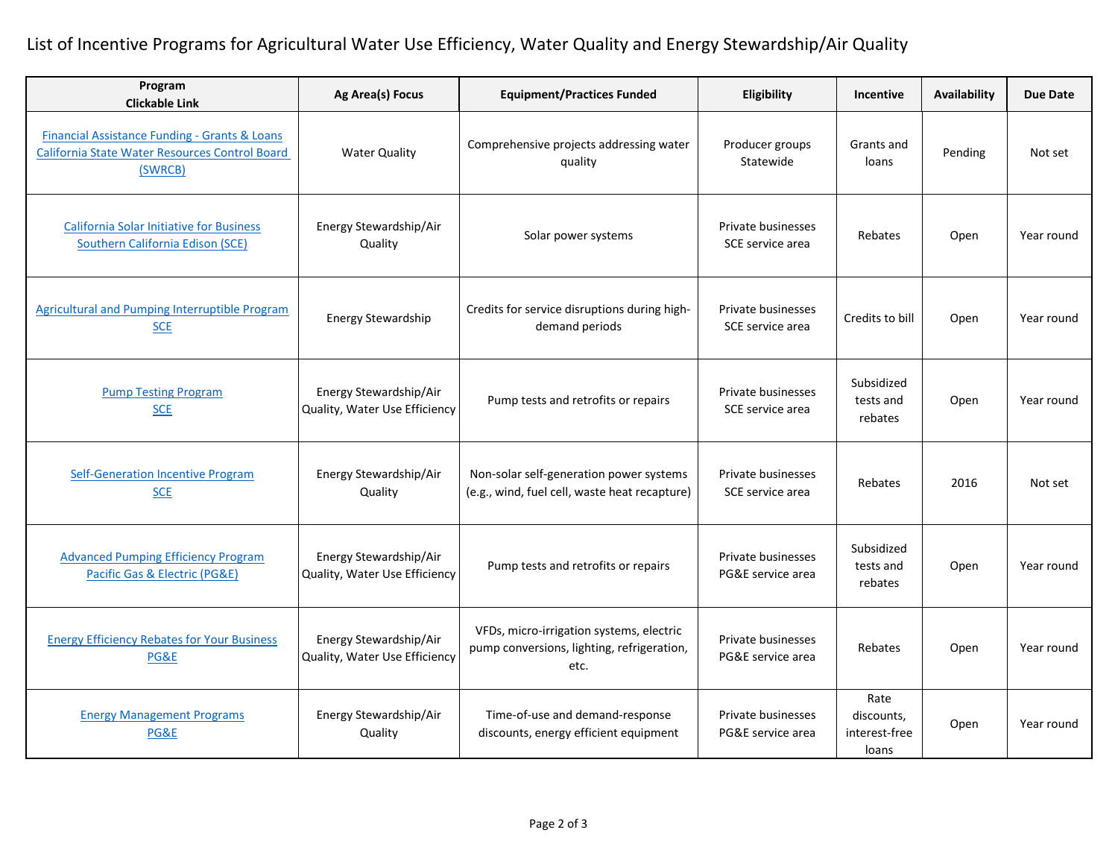## List of Incentive Programs for Agricultural Water Use Efficiency, Water Quality and Energy Stewardship/Air Quality

| Program<br><b>Clickable Link</b>                                                                           | Ag Area(s) Focus                                        | <b>Equipment/Practices Funded</b>                                                              | Eligibility                             | Incentive                                    | Availability | <b>Due Date</b> |
|------------------------------------------------------------------------------------------------------------|---------------------------------------------------------|------------------------------------------------------------------------------------------------|-----------------------------------------|----------------------------------------------|--------------|-----------------|
| Financial Assistance Funding - Grants & Loans<br>California State Water Resources Control Board<br>(SWRCB) | <b>Water Quality</b>                                    | Comprehensive projects addressing water<br>quality                                             | Producer groups<br>Statewide            | Grants and<br>loans                          | Pending      | Not set         |
| <b>California Solar Initiative for Business</b><br><b>Southern California Edison (SCE)</b>                 | Energy Stewardship/Air<br>Quality                       | Solar power systems                                                                            | Private businesses<br>SCE service area  | Rebates                                      | Open         | Year round      |
| Agricultural and Pumping Interruptible Program<br><b>SCE</b>                                               | Energy Stewardship                                      | Credits for service disruptions during high-<br>demand periods                                 | Private businesses<br>SCE service area  | Credits to bill                              | Open         | Year round      |
| <b>Pump Testing Program</b><br><b>SCE</b>                                                                  | Energy Stewardship/Air<br>Quality, Water Use Efficiency | Pump tests and retrofits or repairs                                                            | Private businesses<br>SCE service area  | Subsidized<br>tests and<br>rebates           | Open         | Year round      |
| <b>Self-Generation Incentive Program</b><br><b>SCE</b>                                                     | Energy Stewardship/Air<br>Quality                       | Non-solar self-generation power systems<br>(e.g., wind, fuel cell, waste heat recapture)       | Private businesses<br>SCE service area  | Rebates                                      | 2016         | Not set         |
| <b>Advanced Pumping Efficiency Program</b><br>Pacific Gas & Electric (PG&E)                                | Energy Stewardship/Air<br>Quality, Water Use Efficiency | Pump tests and retrofits or repairs                                                            | Private businesses<br>PG&E service area | Subsidized<br>tests and<br>rebates           | Open         | Year round      |
| <b>Energy Efficiency Rebates for Your Business</b><br>PG&E                                                 | Energy Stewardship/Air<br>Quality, Water Use Efficiency | VFDs, micro-irrigation systems, electric<br>pump conversions, lighting, refrigeration,<br>etc. | Private businesses<br>PG&E service area | Rebates                                      | Open         | Year round      |
| <b>Energy Management Programs</b><br>PG&E                                                                  | Energy Stewardship/Air<br>Quality                       | Time-of-use and demand-response<br>discounts, energy efficient equipment                       | Private businesses<br>PG&E service area | Rate<br>discounts,<br>interest-free<br>loans | Open         | Year round      |